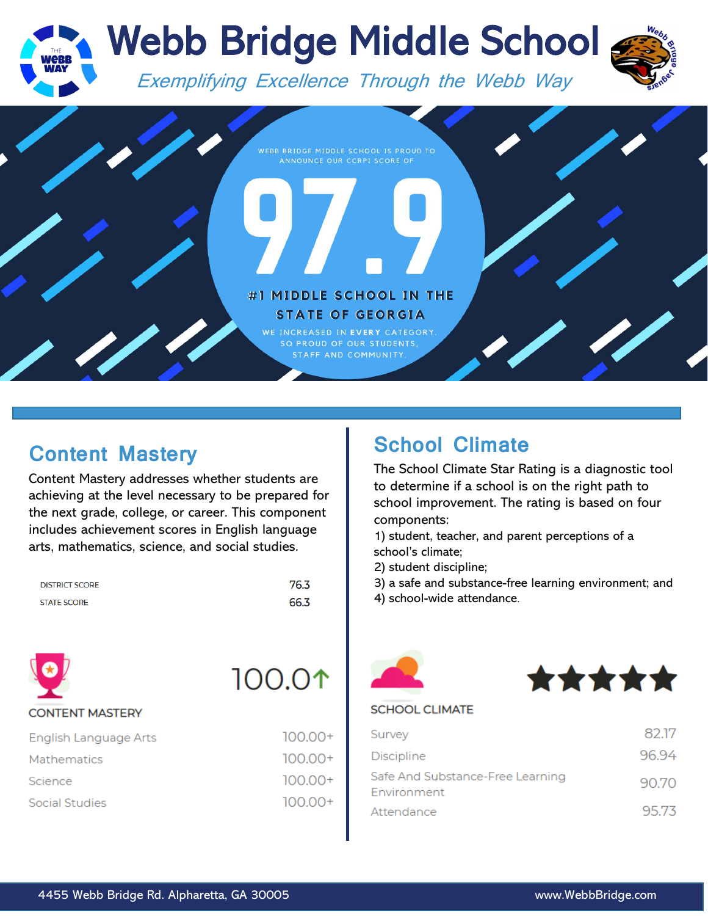

## **Content Mastery**

Content Mastery addresses whether students are achieving at the level necessary to be prepared for the next grade, college, or career. This component includes achievement scores in English language arts, mathematics, science, and social studies.

| <b>DISTRICT SCORE</b> | 76.3 |
|-----------------------|------|
| <b>STATE SCORE</b>    | 66.3 |



## **School Climate**

The School Climate Star Rating is a diagnostic tool to determine if a school is on the right path to school improvement. The rating is based on four components:

1) student, teacher, and parent perceptions of a school's climate;

2) student discipline;

3) a safe and substance-free learning environment; and

4) school-wide attendance.





#### **SCHOOL CLIMATE**

| Survey                                          | 82.17 |
|-------------------------------------------------|-------|
| <b>Discipline</b>                               | 96.94 |
| Safe And Substance-Free Learning<br>Environment | 90.70 |
| Attendance                                      | 95.73 |